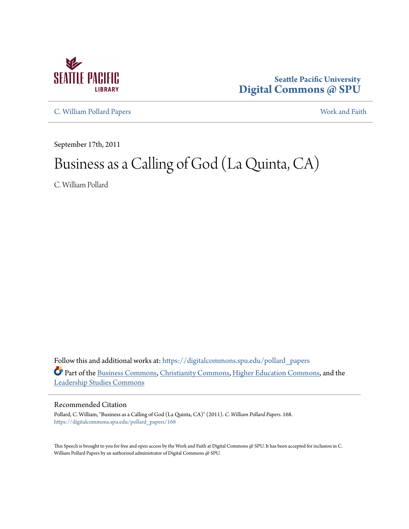

## **Seattle Pacific University [Digital Commons @ SPU](https://digitalcommons.spu.edu?utm_source=digitalcommons.spu.edu%2Fpollard_papers%2F168&utm_medium=PDF&utm_campaign=PDFCoverPages)**

[C. William Pollard Papers](https://digitalcommons.spu.edu/pollard_papers?utm_source=digitalcommons.spu.edu%2Fpollard_papers%2F168&utm_medium=PDF&utm_campaign=PDFCoverPages) [Work and Faith](https://digitalcommons.spu.edu/work_faith?utm_source=digitalcommons.spu.edu%2Fpollard_papers%2F168&utm_medium=PDF&utm_campaign=PDFCoverPages)

September 17th, 2011

## Business as a Calling of God (La Quinta, CA)

C. William Pollard

Follow this and additional works at: [https://digitalcommons.spu.edu/pollard\\_papers](https://digitalcommons.spu.edu/pollard_papers?utm_source=digitalcommons.spu.edu%2Fpollard_papers%2F168&utm_medium=PDF&utm_campaign=PDFCoverPages) Part of the [Business Commons,](http://network.bepress.com/hgg/discipline/622?utm_source=digitalcommons.spu.edu%2Fpollard_papers%2F168&utm_medium=PDF&utm_campaign=PDFCoverPages) [Christianity Commons](http://network.bepress.com/hgg/discipline/1181?utm_source=digitalcommons.spu.edu%2Fpollard_papers%2F168&utm_medium=PDF&utm_campaign=PDFCoverPages), [Higher Education Commons,](http://network.bepress.com/hgg/discipline/1245?utm_source=digitalcommons.spu.edu%2Fpollard_papers%2F168&utm_medium=PDF&utm_campaign=PDFCoverPages) and the [Leadership Studies Commons](http://network.bepress.com/hgg/discipline/1250?utm_source=digitalcommons.spu.edu%2Fpollard_papers%2F168&utm_medium=PDF&utm_campaign=PDFCoverPages)

## Recommended Citation

Pollard, C. William, "Business as a Calling of God (La Quinta, CA)" (2011). *C. William Pollard Papers*. 168. [https://digitalcommons.spu.edu/pollard\\_papers/168](https://digitalcommons.spu.edu/pollard_papers/168?utm_source=digitalcommons.spu.edu%2Fpollard_papers%2F168&utm_medium=PDF&utm_campaign=PDFCoverPages)

This Speech is brought to you for free and open access by the Work and Faith at Digital Commons @ SPU. It has been accepted for inclusion in C. William Pollard Papers by an authorized administrator of Digital Commons @ SPU.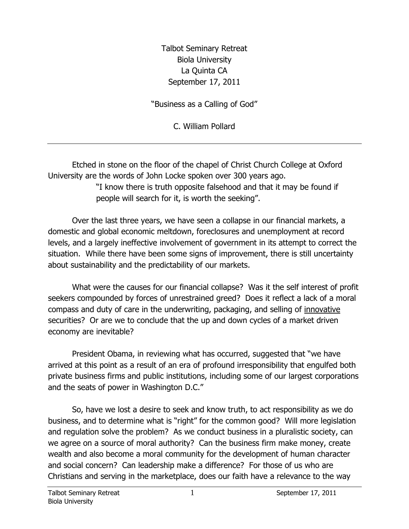Talbot Seminary Retreat Biola University La Quinta CA September 17, 2011

"Business as a Calling of God"

C. William Pollard

Etched in stone on the floor of the chapel of Christ Church College at Oxford University are the words of John Locke spoken over 300 years ago.

> "I know there is truth opposite falsehood and that it may be found if people will search for it, is worth the seeking".

Over the last three years, we have seen a collapse in our financial markets, a domestic and global economic meltdown, foreclosures and unemployment at record levels, and a largely ineffective involvement of government in its attempt to correct the situation. While there have been some signs of improvement, there is still uncertainty about sustainability and the predictability of our markets.

What were the causes for our financial collapse? Was it the self interest of profit seekers compounded by forces of unrestrained greed? Does it reflect a lack of a moral compass and duty of care in the underwriting, packaging, and selling of innovative securities? Or are we to conclude that the up and down cycles of a market driven economy are inevitable?

President Obama, in reviewing what has occurred, suggested that "we have arrived at this point as a result of an era of profound irresponsibility that engulfed both private business firms and public institutions, including some of our largest corporations and the seats of power in Washington D.C."

So, have we lost a desire to seek and know truth, to act responsibility as we do business, and to determine what is "right" for the common good? Will more legislation and regulation solve the problem? As we conduct business in a pluralistic society, can we agree on a source of moral authority? Can the business firm make money, create wealth and also become a moral community for the development of human character and social concern? Can leadership make a difference? For those of us who are Christians and serving in the marketplace, does our faith have a relevance to the way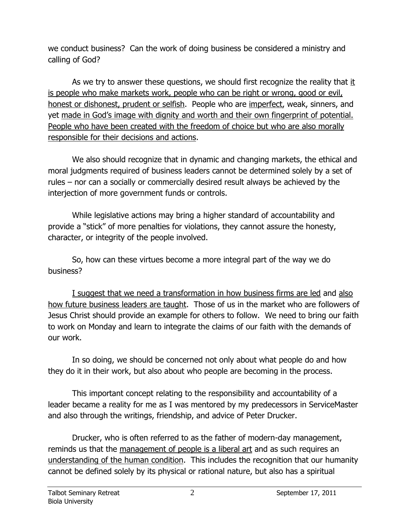we conduct business? Can the work of doing business be considered a ministry and calling of God?

As we try to answer these questions, we should first recognize the reality that it is people who make markets work, people who can be right or wrong, good or evil, honest or dishonest, prudent or selfish. People who are imperfect, weak, sinners, and yet made in God's image with dignity and worth and their own fingerprint of potential. People who have been created with the freedom of choice but who are also morally responsible for their decisions and actions.

We also should recognize that in dynamic and changing markets, the ethical and moral judgments required of business leaders cannot be determined solely by a set of rules – nor can a socially or commercially desired result always be achieved by the interjection of more government funds or controls.

While legislative actions may bring a higher standard of accountability and provide a "stick" of more penalties for violations, they cannot assure the honesty, character, or integrity of the people involved.

So, how can these virtues become a more integral part of the way we do business?

I suggest that we need a transformation in how business firms are led and also how future business leaders are taught. Those of us in the market who are followers of Jesus Christ should provide an example for others to follow. We need to bring our faith to work on Monday and learn to integrate the claims of our faith with the demands of our work.

In so doing, we should be concerned not only about what people do and how they do it in their work, but also about who people are becoming in the process.

This important concept relating to the responsibility and accountability of a leader became a reality for me as I was mentored by my predecessors in ServiceMaster and also through the writings, friendship, and advice of Peter Drucker.

Drucker, who is often referred to as the father of modern-day management, reminds us that the management of people is a liberal art and as such requires an understanding of the human condition. This includes the recognition that our humanity cannot be defined solely by its physical or rational nature, but also has a spiritual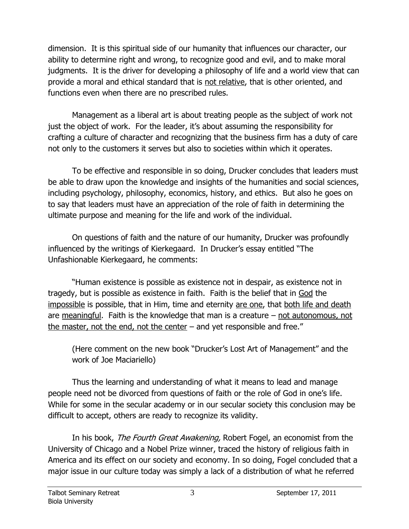dimension. It is this spiritual side of our humanity that influences our character, our ability to determine right and wrong, to recognize good and evil, and to make moral judgments. It is the driver for developing a philosophy of life and a world view that can provide a moral and ethical standard that is not relative, that is other oriented, and functions even when there are no prescribed rules.

Management as a liberal art is about treating people as the subject of work not just the object of work. For the leader, it's about assuming the responsibility for crafting a culture of character and recognizing that the business firm has a duty of care not only to the customers it serves but also to societies within which it operates.

To be effective and responsible in so doing, Drucker concludes that leaders must be able to draw upon the knowledge and insights of the humanities and social sciences, including psychology, philosophy, economics, history, and ethics. But also he goes on to say that leaders must have an appreciation of the role of faith in determining the ultimate purpose and meaning for the life and work of the individual.

On questions of faith and the nature of our humanity, Drucker was profoundly influenced by the writings of Kierkegaard. In Drucker's essay entitled "The Unfashionable Kierkegaard, he comments:

"Human existence is possible as existence not in despair, as existence not in tragedy, but is possible as existence in faith. Faith is the belief that in God the impossible is possible, that in Him, time and eternity are one, that both life and death are meaningful. Faith is the knowledge that man is a creature  $-$  not autonomous, not the master, not the end, not the center – and yet responsible and free."

(Here comment on the new book "Drucker's Lost Art of Management" and the work of Joe Maciariello)

Thus the learning and understanding of what it means to lead and manage people need not be divorced from questions of faith or the role of God in one's life. While for some in the secular academy or in our secular society this conclusion may be difficult to accept, others are ready to recognize its validity.

In his book, *The Fourth Great Awakening*, Robert Fogel, an economist from the University of Chicago and a Nobel Prize winner, traced the history of religious faith in America and its effect on our society and economy. In so doing, Fogel concluded that a major issue in our culture today was simply a lack of a distribution of what he referred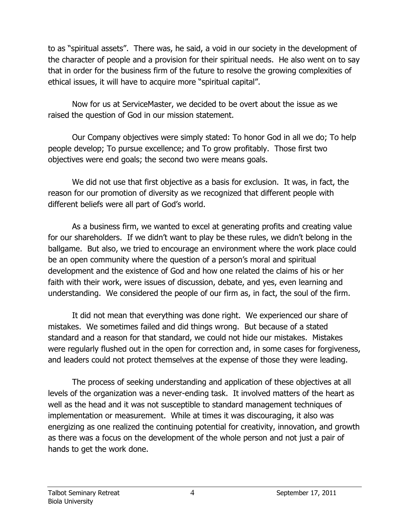to as "spiritual assets". There was, he said, a void in our society in the development of the character of people and a provision for their spiritual needs. He also went on to say that in order for the business firm of the future to resolve the growing complexities of ethical issues, it will have to acquire more "spiritual capital".

Now for us at ServiceMaster, we decided to be overt about the issue as we raised the question of God in our mission statement.

Our Company objectives were simply stated: To honor God in all we do; To help people develop; To pursue excellence; and To grow profitably. Those first two objectives were end goals; the second two were means goals.

We did not use that first objective as a basis for exclusion. It was, in fact, the reason for our promotion of diversity as we recognized that different people with different beliefs were all part of God's world.

As a business firm, we wanted to excel at generating profits and creating value for our shareholders. If we didn't want to play be these rules, we didn't belong in the ballgame. But also, we tried to encourage an environment where the work place could be an open community where the question of a person's moral and spiritual development and the existence of God and how one related the claims of his or her faith with their work, were issues of discussion, debate, and yes, even learning and understanding. We considered the people of our firm as, in fact, the soul of the firm.

It did not mean that everything was done right. We experienced our share of mistakes. We sometimes failed and did things wrong. But because of a stated standard and a reason for that standard, we could not hide our mistakes. Mistakes were regularly flushed out in the open for correction and, in some cases for forgiveness, and leaders could not protect themselves at the expense of those they were leading.

The process of seeking understanding and application of these objectives at all levels of the organization was a never-ending task. It involved matters of the heart as well as the head and it was not susceptible to standard management techniques of implementation or measurement. While at times it was discouraging, it also was energizing as one realized the continuing potential for creativity, innovation, and growth as there was a focus on the development of the whole person and not just a pair of hands to get the work done.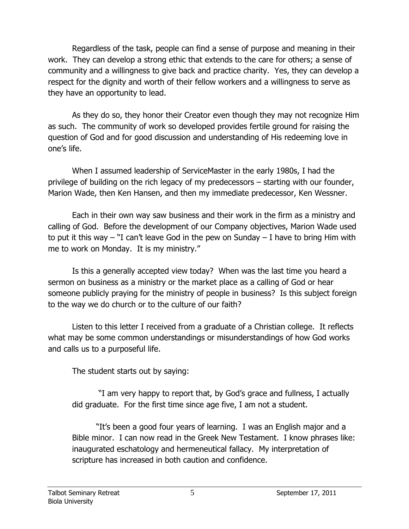Regardless of the task, people can find a sense of purpose and meaning in their work. They can develop a strong ethic that extends to the care for others; a sense of community and a willingness to give back and practice charity. Yes, they can develop a respect for the dignity and worth of their fellow workers and a willingness to serve as they have an opportunity to lead.

As they do so, they honor their Creator even though they may not recognize Him as such. The community of work so developed provides fertile ground for raising the question of God and for good discussion and understanding of His redeeming love in one's life.

When I assumed leadership of ServiceMaster in the early 1980s, I had the privilege of building on the rich legacy of my predecessors – starting with our founder, Marion Wade, then Ken Hansen, and then my immediate predecessor, Ken Wessner.

Each in their own way saw business and their work in the firm as a ministry and calling of God. Before the development of our Company objectives, Marion Wade used to put it this way – "I can't leave God in the pew on Sunday – I have to bring Him with me to work on Monday. It is my ministry."

Is this a generally accepted view today? When was the last time you heard a sermon on business as a ministry or the market place as a calling of God or hear someone publicly praying for the ministry of people in business? Is this subject foreign to the way we do church or to the culture of our faith?

Listen to this letter I received from a graduate of a Christian college. It reflects what may be some common understandings or misunderstandings of how God works and calls us to a purposeful life.

The student starts out by saying:

"I am very happy to report that, by God's grace and fullness, I actually did graduate. For the first time since age five, I am not a student.

"It's been a good four years of learning. I was an English major and a Bible minor. I can now read in the Greek New Testament. I know phrases like: inaugurated eschatology and hermeneutical fallacy. My interpretation of scripture has increased in both caution and confidence.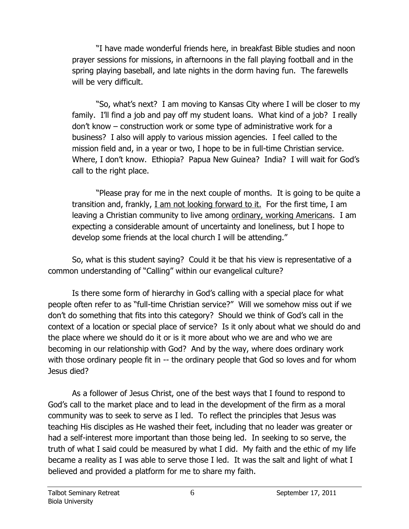"I have made wonderful friends here, in breakfast Bible studies and noon prayer sessions for missions, in afternoons in the fall playing football and in the spring playing baseball, and late nights in the dorm having fun. The farewells will be very difficult.

"So, what's next? I am moving to Kansas City where I will be closer to my family. I'll find a job and pay off my student loans. What kind of a job? I really don't know – construction work or some type of administrative work for a business? I also will apply to various mission agencies. I feel called to the mission field and, in a year or two, I hope to be in full-time Christian service. Where, I don't know. Ethiopia? Papua New Guinea? India? I will wait for God's call to the right place.

"Please pray for me in the next couple of months. It is going to be quite a transition and, frankly,  $I$  am not looking forward to it. For the first time,  $I$  am leaving a Christian community to live among ordinary, working Americans. I am expecting a considerable amount of uncertainty and loneliness, but I hope to develop some friends at the local church I will be attending."

So, what is this student saying? Could it be that his view is representative of a common understanding of "Calling" within our evangelical culture?

Is there some form of hierarchy in God's calling with a special place for what people often refer to as "full-time Christian service?" Will we somehow miss out if we don't do something that fits into this category? Should we think of God's call in the context of a location or special place of service? Is it only about what we should do and the place where we should do it or is it more about who we are and who we are becoming in our relationship with God? And by the way, where does ordinary work with those ordinary people fit in -- the ordinary people that God so loves and for whom Jesus died?

As a follower of Jesus Christ, one of the best ways that I found to respond to God's call to the market place and to lead in the development of the firm as a moral community was to seek to serve as I led. To reflect the principles that Jesus was teaching His disciples as He washed their feet, including that no leader was greater or had a self-interest more important than those being led. In seeking to so serve, the truth of what I said could be measured by what I did. My faith and the ethic of my life became a reality as I was able to serve those I led. It was the salt and light of what I believed and provided a platform for me to share my faith.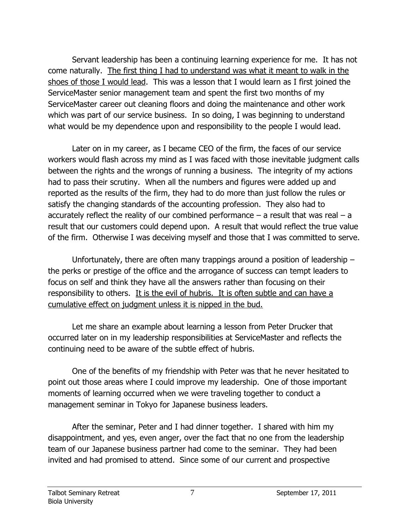Servant leadership has been a continuing learning experience for me. It has not come naturally. The first thing I had to understand was what it meant to walk in the shoes of those I would lead. This was a lesson that I would learn as I first joined the ServiceMaster senior management team and spent the first two months of my ServiceMaster career out cleaning floors and doing the maintenance and other work which was part of our service business. In so doing, I was beginning to understand what would be my dependence upon and responsibility to the people I would lead.

Later on in my career, as I became CEO of the firm, the faces of our service workers would flash across my mind as I was faced with those inevitable judgment calls between the rights and the wrongs of running a business. The integrity of my actions had to pass their scrutiny. When all the numbers and figures were added up and reported as the results of the firm, they had to do more than just follow the rules or satisfy the changing standards of the accounting profession. They also had to accurately reflect the reality of our combined performance  $-$  a result that was real  $-$  a result that our customers could depend upon. A result that would reflect the true value of the firm. Otherwise I was deceiving myself and those that I was committed to serve.

Unfortunately, there are often many trappings around a position of leadership – the perks or prestige of the office and the arrogance of success can tempt leaders to focus on self and think they have all the answers rather than focusing on their responsibility to others. It is the evil of hubris. It is often subtle and can have a cumulative effect on judgment unless it is nipped in the bud.

Let me share an example about learning a lesson from Peter Drucker that occurred later on in my leadership responsibilities at ServiceMaster and reflects the continuing need to be aware of the subtle effect of hubris.

One of the benefits of my friendship with Peter was that he never hesitated to point out those areas where I could improve my leadership. One of those important moments of learning occurred when we were traveling together to conduct a management seminar in Tokyo for Japanese business leaders.

After the seminar, Peter and I had dinner together. I shared with him my disappointment, and yes, even anger, over the fact that no one from the leadership team of our Japanese business partner had come to the seminar. They had been invited and had promised to attend. Since some of our current and prospective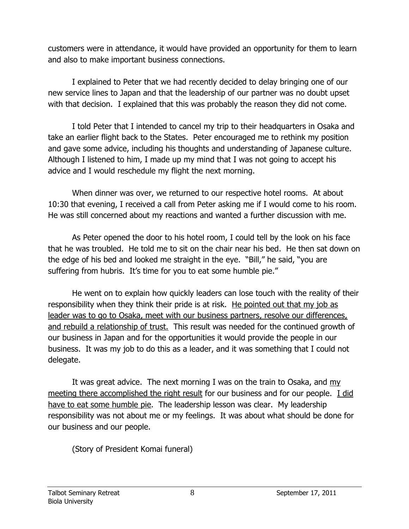customers were in attendance, it would have provided an opportunity for them to learn and also to make important business connections.

I explained to Peter that we had recently decided to delay bringing one of our new service lines to Japan and that the leadership of our partner was no doubt upset with that decision. I explained that this was probably the reason they did not come.

I told Peter that I intended to cancel my trip to their headquarters in Osaka and take an earlier flight back to the States. Peter encouraged me to rethink my position and gave some advice, including his thoughts and understanding of Japanese culture. Although I listened to him, I made up my mind that I was not going to accept his advice and I would reschedule my flight the next morning.

When dinner was over, we returned to our respective hotel rooms. At about 10:30 that evening, I received a call from Peter asking me if I would come to his room. He was still concerned about my reactions and wanted a further discussion with me.

As Peter opened the door to his hotel room, I could tell by the look on his face that he was troubled. He told me to sit on the chair near his bed. He then sat down on the edge of his bed and looked me straight in the eye. "Bill," he said, "you are suffering from hubris. It's time for you to eat some humble pie."

He went on to explain how quickly leaders can lose touch with the reality of their responsibility when they think their pride is at risk. He pointed out that my job as leader was to go to Osaka, meet with our business partners, resolve our differences, and rebuild a relationship of trust. This result was needed for the continued growth of our business in Japan and for the opportunities it would provide the people in our business. It was my job to do this as a leader, and it was something that I could not delegate.

It was great advice. The next morning I was on the train to Osaka, and  $\frac{my}{m}$ meeting there accomplished the right result for our business and for our people. I did have to eat some humble pie. The leadership lesson was clear. My leadership responsibility was not about me or my feelings. It was about what should be done for our business and our people.

(Story of President Komai funeral)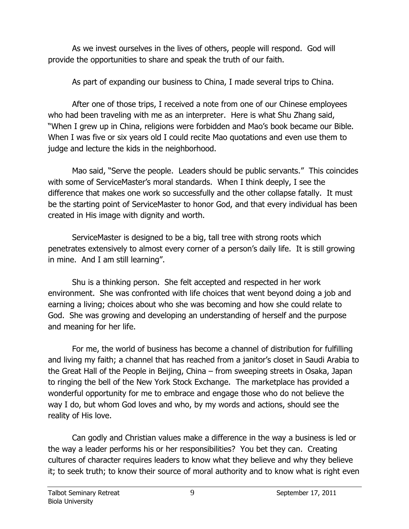As we invest ourselves in the lives of others, people will respond. God will provide the opportunities to share and speak the truth of our faith.

As part of expanding our business to China, I made several trips to China.

After one of those trips, I received a note from one of our Chinese employees who had been traveling with me as an interpreter. Here is what Shu Zhang said, "When I grew up in China, religions were forbidden and Mao's book became our Bible. When I was five or six years old I could recite Mao quotations and even use them to judge and lecture the kids in the neighborhood.

Mao said, "Serve the people. Leaders should be public servants." This coincides with some of ServiceMaster's moral standards. When I think deeply, I see the difference that makes one work so successfully and the other collapse fatally. It must be the starting point of ServiceMaster to honor God, and that every individual has been created in His image with dignity and worth.

ServiceMaster is designed to be a big, tall tree with strong roots which penetrates extensively to almost every corner of a person's daily life. It is still growing in mine. And I am still learning".

Shu is a thinking person. She felt accepted and respected in her work environment. She was confronted with life choices that went beyond doing a job and earning a living; choices about who she was becoming and how she could relate to God. She was growing and developing an understanding of herself and the purpose and meaning for her life.

For me, the world of business has become a channel of distribution for fulfilling and living my faith; a channel that has reached from a janitor's closet in Saudi Arabia to the Great Hall of the People in Beijing, China – from sweeping streets in Osaka, Japan to ringing the bell of the New York Stock Exchange. The marketplace has provided a wonderful opportunity for me to embrace and engage those who do not believe the way I do, but whom God loves and who, by my words and actions, should see the reality of His love.

Can godly and Christian values make a difference in the way a business is led or the way a leader performs his or her responsibilities? You bet they can. Creating cultures of character requires leaders to know what they believe and why they believe it; to seek truth; to know their source of moral authority and to know what is right even